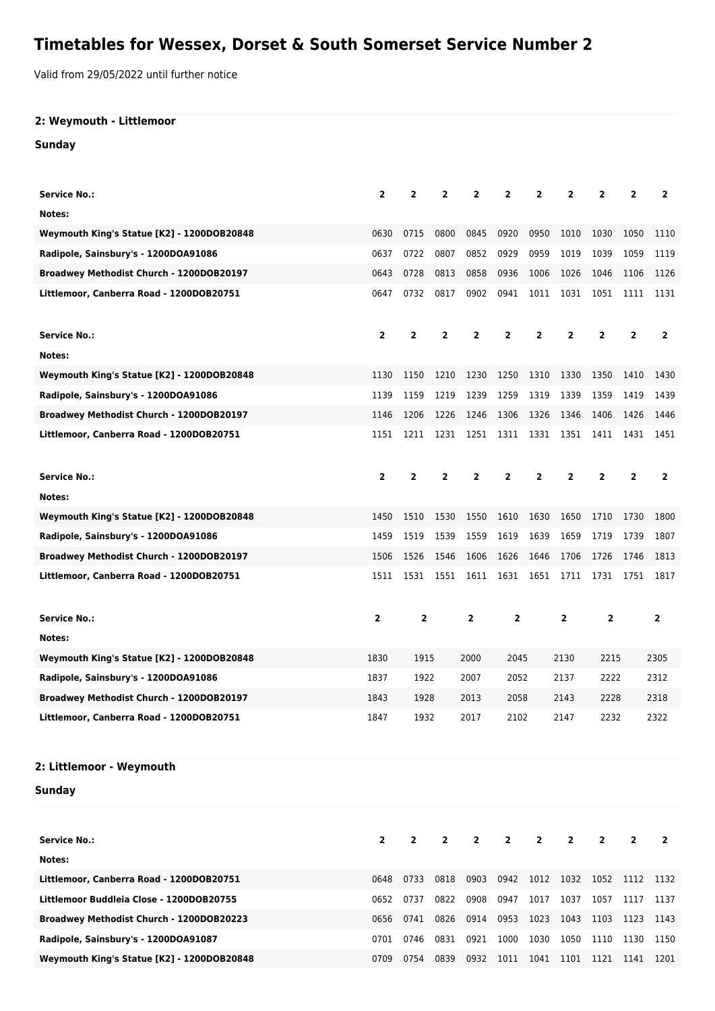## **Timetables for Wessex, Dorset & South Somerset Service Number 2**

Valid from 29/05/2022 until further notice

| 2: Weymouth - Littlemoor                   |                         |                         |                |              |                         |                |                |                         |                |                |
|--------------------------------------------|-------------------------|-------------------------|----------------|--------------|-------------------------|----------------|----------------|-------------------------|----------------|----------------|
| <b>Sunday</b>                              |                         |                         |                |              |                         |                |                |                         |                |                |
|                                            |                         |                         |                |              |                         |                |                |                         |                |                |
| <b>Service No.:</b>                        | $\overline{2}$          | $\overline{2}$          | $\overline{2}$ | $\mathbf{2}$ | $\mathbf{2}$            | 2              | 2              | $\overline{2}$          | $\overline{2}$ | $\overline{2}$ |
| Notes:                                     |                         |                         |                |              |                         |                |                |                         |                |                |
| Weymouth King's Statue [K2] - 1200DOB20848 | 0630                    | 0715                    | 0800           | 0845         | 0920                    | 0950           | 1010           | 1030                    | 1050           | 1110           |
| Radipole, Sainsbury's - 1200DOA91086       | 0637                    | 0722                    | 0807           | 0852         | 0929                    | 0959           | 1019           | 1039                    | 1059           | 1119           |
| Broadwey Methodist Church - 1200DOB20197   | 0643                    | 0728                    | 0813           | 0858         | 0936                    | 1006           | 1026           | 1046                    | 1106           | 1126           |
| Littlemoor, Canberra Road - 1200DOB20751   | 0647                    | 0732                    | 0817           | 0902         | 0941                    | 1011           | 1031           | 1051                    | 1111           | 1131           |
|                                            |                         |                         |                |              |                         |                |                |                         |                |                |
| <b>Service No.:</b>                        | $\overline{\mathbf{2}}$ | $\overline{2}$          | $\overline{2}$ | $\mathbf{2}$ | 2                       | $\mathbf{2}$   | $\overline{2}$ | $\overline{2}$          | $\mathbf{2}$   | $\mathbf{2}$   |
| Notes:                                     |                         |                         |                |              |                         |                |                |                         |                |                |
| Weymouth King's Statue [K2] - 1200DOB20848 | 1130                    | 1150                    | 1210           | 1230         | 1250                    | 1310           | 1330           | 1350                    | 1410           | 1430           |
| Radipole, Sainsbury's - 1200DOA91086       | 1139                    | 1159                    | 1219           | 1239         | 1259                    | 1319           | 1339           | 1359                    | 1419           | 1439           |
| Broadwey Methodist Church - 1200DOB20197   | 1146                    | 1206                    | 1226           | 1246         | 1306                    | 1326           | 1346           | 1406                    | 1426           | 1446           |
| Littlemoor, Canberra Road - 1200DOB20751   | 1151                    | 1211                    |                | 1231 1251    |                         |                | 1311 1331 1351 | 1411                    | 1431           | 1451           |
|                                            |                         |                         |                |              |                         |                |                |                         |                |                |
| <b>Service No.:</b>                        | $\overline{2}$          | $\overline{\mathbf{2}}$ | $\overline{2}$ | $\mathbf{2}$ | $\overline{2}$          | $\overline{2}$ | $\overline{2}$ | $\overline{2}$          | $\overline{2}$ | $\overline{2}$ |
| Notes:                                     |                         |                         |                |              |                         |                |                |                         |                |                |
| Weymouth King's Statue [K2] - 1200DOB20848 | 1450                    | 1510                    | 1530           | 1550         | 1610                    | 1630           | 1650           | 1710                    | 1730           | 1800           |
| Radipole, Sainsbury's - 1200DOA91086       | 1459                    | 1519                    | 1539           | 1559         | 1619                    | 1639           | 1659           | 1719                    | 1739           | 1807           |
| Broadwey Methodist Church - 1200DOB20197   | 1506                    | 1526                    | 1546           | 1606         | 1626                    | 1646           | 1706           | 1726                    | 1746           | 1813           |
| Littlemoor, Canberra Road - 1200DOB20751   | 1511                    | 1531                    | 1551           | 1611         | 1631                    |                | 1651 1711      | 1731                    | 1751           | 1817           |
|                                            |                         |                         |                |              |                         |                |                |                         |                |                |
| <b>Service No.:</b>                        | 2                       | $\overline{2}$          |                | $\mathbf{2}$ | $\overline{\mathbf{2}}$ |                | $\mathbf{2}$   |                         |                | $\overline{2}$ |
| Notes:                                     |                         |                         |                |              |                         |                |                |                         |                |                |
| Weymouth King's Statue [K2] - 1200DOB20848 | 1830                    | 1915                    |                | 2000         | 2045                    |                | 2130           | 2215                    |                | 2305           |
| Radipole, Sainsbury's - 1200DOA91086       | 1837                    | 1922                    |                | 2007         | 2052                    |                | 2137<br>2222   |                         |                | 2312           |
| Broadwey Methodist Church - 1200DOB20197   | 1843                    | 1928                    |                | 2013         | 2058                    |                | 2143<br>2228   |                         | 2318           |                |
| Littlemoor, Canberra Road - 1200DOB20751   |                         | 1847<br>1932            |                | 2017         | 2102                    |                | 2147           | 2232                    |                | 2322           |
|                                            |                         |                         |                |              |                         |                |                |                         |                |                |
| 2: Littlemoor - Weymouth                   |                         |                         |                |              |                         |                |                |                         |                |                |
| <b>Sunday</b>                              |                         |                         |                |              |                         |                |                |                         |                |                |
|                                            |                         |                         |                |              |                         |                |                |                         |                |                |
|                                            |                         |                         |                |              |                         |                |                |                         |                |                |
| <b>Service No.:</b>                        | $\overline{2}$          | $\mathbf{2}$            | $\mathbf{2}$   | 2            | $\overline{\mathbf{2}}$ | $\overline{2}$ | $\mathbf{2}$   | $\overline{\mathbf{2}}$ | $\overline{2}$ | $\mathbf{2}$   |
| Notes:                                     |                         |                         |                |              |                         |                |                |                         |                |                |
| Littlemoor, Canberra Road - 1200DOB20751   | 0648                    | 0733                    | 0818           | 0903         | 0942                    | 1012           | 1032           | 1052                    | 1112           | 1132           |
| Littlemoor Buddleia Close - 1200DOB20755   | 0652                    | 0737                    | 0822           | 0908         | 0947                    | 1017           | 1037           | 1057                    | 1117           | 1137           |
| Broadwey Methodist Church - 1200DOB20223   | 0656                    | 0741                    | 0826           | 0914         | 0953                    | 1023           | 1043           | 1103                    | 1123           | 1143           |

**Radipole, Sainsbury's - 1200DOA91087** 0701 0746 0831 0921 1000 1030 1050 1110 1130 1150 **Weymouth King's Statue [K2] - 1200DOB20848** 0709 0754 0839 0932 1011 1041 1101 1121 1141 1201